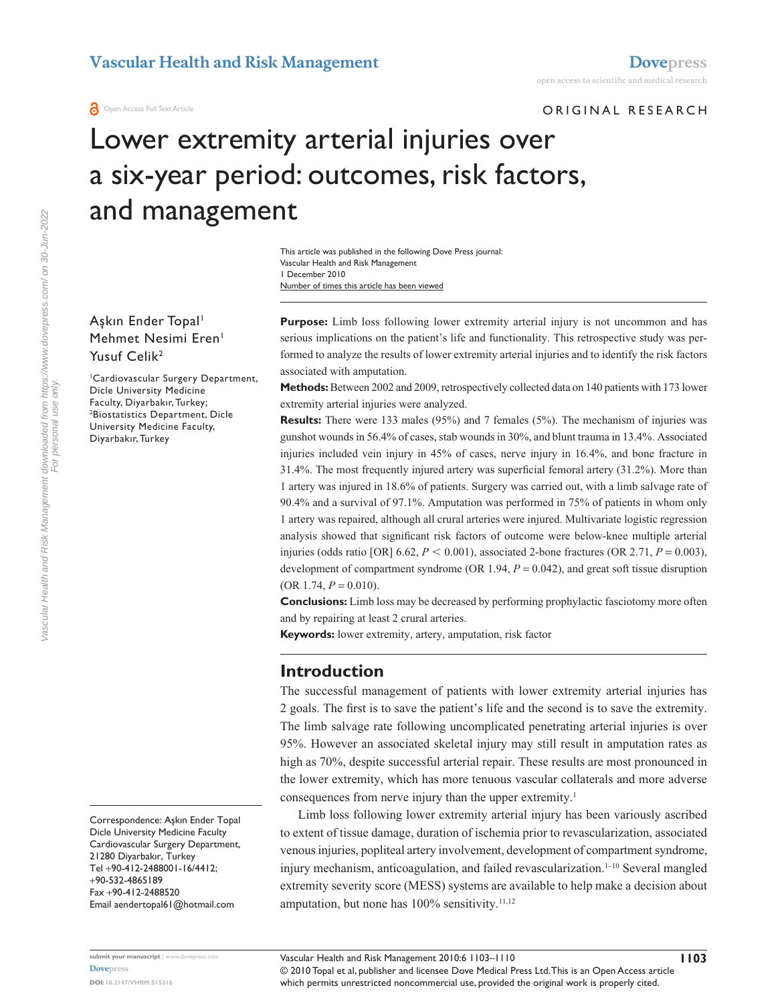ORIGINAL RESEARCH

# Lower extremity arterial injuries over a six-year period: outcomes, risk factors, and management

Number of times this article has been viewed This article was published in the following Dove Press journal: Vascular Health and Risk Management 1 December 2010

Aşkın Ender Topal<sup>1</sup> Mehmet Nesimi Eren<sup>1</sup> Yusuf Celik<sup>2</sup>

1 Cardiovascular Surgery Department, Dicle University Medicine Faculty, Diyarbakır, Turkey; 2 Biostatistics Department, Dicle University Medicine Faculty, Diyarbakır, Turkey

Correspondence: Aşkın Ender Topal Dicle University Medicine Faculty Cardiovascular Surgery Department, 21280 Diyarbakır, Turkey Tel +90-412-2488001-16/4412; +90-532-4865189 Fax +90-412-2488520 Email [aendertopal61@hotmail.com](mailto:aendertopal61@hotmail.com)

**Purpose:** Limb loss following lower extremity arterial injury is not uncommon and has serious implications on the patient's life and functionality. This retrospective study was performed to analyze the results of lower extremity arterial injuries and to identify the risk factors associated with amputation.

**Methods:** Between 2002 and 2009, retrospectively collected data on 140 patients with 173 lower extremity arterial injuries were analyzed.

**Results:** There were 133 males (95%) and 7 females (5%). The mechanism of injuries was gunshot wounds in 56.4% of cases, stab wounds in 30%, and blunt trauma in 13.4%. Associated injuries included vein injury in 45% of cases, nerve injury in 16.4%, and bone fracture in 31.4%. The most frequently injured artery was superficial femoral artery (31.2%). More than 1 artery was injured in 18.6% of patients. Surgery was carried out, with a limb salvage rate of 90.4% and a survival of 97.1%. Amputation was performed in 75% of patients in whom only 1 artery was repaired, although all crural arteries were injured. Multivariate logistic regression analysis showed that significant risk factors of outcome were below-knee multiple arterial injuries (odds ratio [OR] 6.62,  $P < 0.001$ ), associated 2-bone fractures (OR 2.71,  $P = 0.003$ ), development of compartment syndrome (OR 1.94, *P* = 0.042), and great soft tissue disruption  $(OR 1.74, P = 0.010).$ 

**Conclusions:** Limb loss may be decreased by performing prophylactic fasciotomy more often and by repairing at least 2 crural arteries.

**Keywords:** lower extremity, artery, amputation, risk factor

### **Introduction**

The successful management of patients with lower extremity arterial injuries has 2 goals. The first is to save the patient's life and the second is to save the extremity. The limb salvage rate following uncomplicated penetrating arterial injuries is over 95%. However an associated skeletal injury may still result in amputation rates as high as 70%, despite successful arterial repair. These results are most pronounced in the lower extremity, which has more tenuous vascular collaterals and more adverse consequences from nerve injury than the upper extremity.<sup>1</sup>

Limb loss following lower extremity arterial injury has been variously ascribed to extent of tissue damage, duration of ischemia prior to revascularization, associated venous injuries, popliteal artery involvement, development of compartment syndrome, injury mechanism, anticoagulation, and failed revascularization.<sup>1-10</sup> Several mangled extremity severity score (MESS) systems are available to help make a decision about amputation, but none has  $100\%$  sensitivity.<sup>11,12</sup>

**submit your manuscript** | <www.dovepress.com> **[Dovepress](www.dovepress.com) DOI: 10.2147/VHRM.S15316**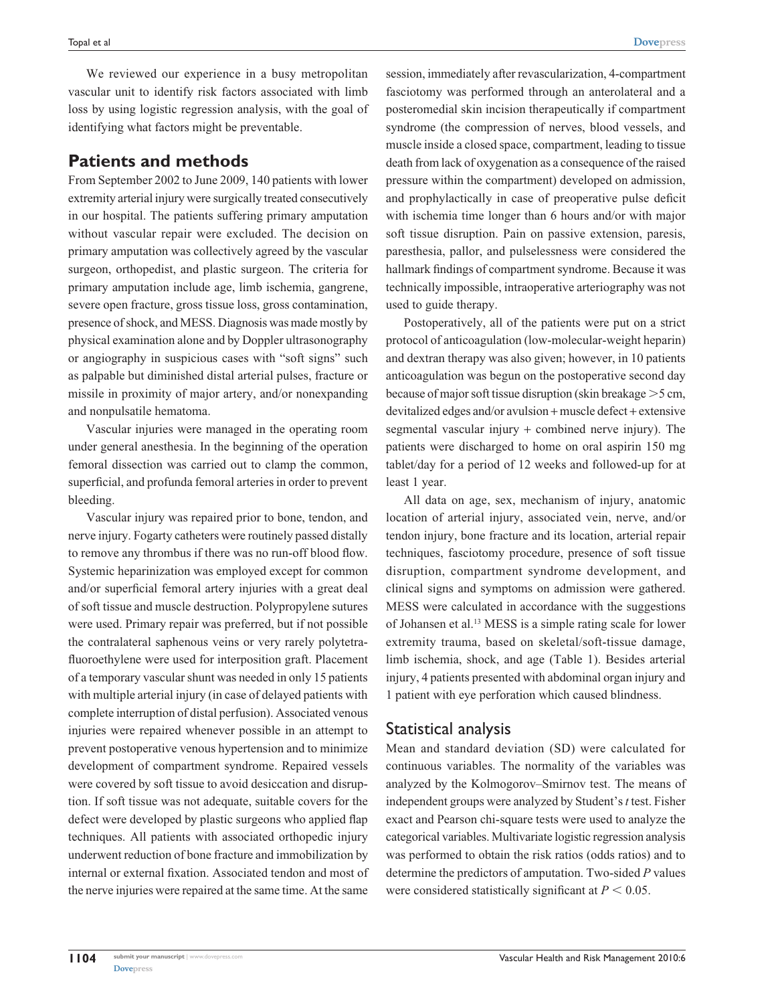We reviewed our experience in a busy metropolitan vascular unit to identify risk factors associated with limb loss by using logistic regression analysis, with the goal of identifying what factors might be preventable.

## **Patients and methods**

From September 2002 to June 2009, 140 patients with lower extremity arterial injury were surgically treated consecutively in our hospital. The patients suffering primary amputation without vascular repair were excluded. The decision on primary amputation was collectively agreed by the vascular surgeon, orthopedist, and plastic surgeon. The criteria for primary amputation include age, limb ischemia, gangrene, severe open fracture, gross tissue loss, gross contamination, presence of shock, and MESS. Diagnosis was made mostly by physical examination alone and by Doppler ultrasonography or angiography in suspicious cases with "soft signs" such as palpable but diminished distal arterial pulses, fracture or missile in proximity of major artery, and/or nonexpanding and nonpulsatile hematoma.

Vascular injuries were managed in the operating room under general anesthesia. In the beginning of the operation femoral dissection was carried out to clamp the common, superficial, and profunda femoral arteries in order to prevent bleeding.

Vascular injury was repaired prior to bone, tendon, and nerve injury. Fogarty catheters were routinely passed distally to remove any thrombus if there was no run-off blood flow. Systemic heparinization was employed except for common and/or superficial femoral artery injuries with a great deal of soft tissue and muscle destruction. Polypropylene sutures were used. Primary repair was preferred, but if not possible the contralateral saphenous veins or very rarely polytetrafluoroethylene were used for interposition graft. Placement of a temporary vascular shunt was needed in only 15 patients with multiple arterial injury (in case of delayed patients with complete interruption of distal perfusion). Associated venous injuries were repaired whenever possible in an attempt to prevent postoperative venous hypertension and to minimize development of compartment syndrome. Repaired vessels were covered by soft tissue to avoid desiccation and disruption. If soft tissue was not adequate, suitable covers for the defect were developed by plastic surgeons who applied flap techniques. All patients with associated orthopedic injury underwent reduction of bone fracture and immobilization by internal or external fixation. Associated tendon and most of the nerve injuries were repaired at the same time. At the same session, immediately after revascularization, 4-compartment fasciotomy was performed through an anterolateral and a posteromedial skin incision therapeutically if compartment syndrome (the compression of nerves, blood vessels, and muscle inside a closed space, compartment, leading to tissue death from lack of oxygenation as a consequence of the raised pressure within the compartment) developed on admission, and prophylactically in case of preoperative pulse deficit with ischemia time longer than 6 hours and/or with major soft tissue disruption. Pain on passive extension, paresis, paresthesia, pallor, and pulselessness were considered the hallmark findings of compartment syndrome. Because it was technically impossible, intraoperative arteriography was not used to guide therapy.

Postoperatively, all of the patients were put on a strict protocol of anticoagulation (low-molecular-weight heparin) and dextran therapy was also given; however, in 10 patients anticoagulation was begun on the postoperative second day because of major soft tissue disruption (skin breakage  $>5$  cm, devitalized edges and/or avulsion + muscle defect + extensive segmental vascular injury + combined nerve injury). The patients were discharged to home on oral aspirin 150 mg tablet/day for a period of 12 weeks and followed-up for at least 1 year.

All data on age, sex, mechanism of injury, anatomic location of arterial injury, associated vein, nerve, and/or tendon injury, bone fracture and its location, arterial repair techniques, fasciotomy procedure, presence of soft tissue disruption, compartment syndrome development, and clinical signs and symptoms on admission were gathered. MESS were calculated in accordance with the suggestions of Johansen et al.13 MESS is a simple rating scale for lower extremity trauma, based on skeletal/soft-tissue damage, limb ischemia, shock, and age (Table 1). Besides arterial injury, 4 patients presented with abdominal organ injury and 1 patient with eye perforation which caused blindness.

### Statistical analysis

Mean and standard deviation (SD) were calculated for continuous variables. The normality of the variables was analyzed by the Kolmogorov–Smirnov test. The means of independent groups were analyzed by Student's *t* test. Fisher exact and Pearson chi-square tests were used to analyze the categorical variables. Multivariate logistic regression analysis was performed to obtain the risk ratios (odds ratios) and to determine the predictors of amputation. Two-sided *P* values were considered statistically significant at  $P < 0.05$ .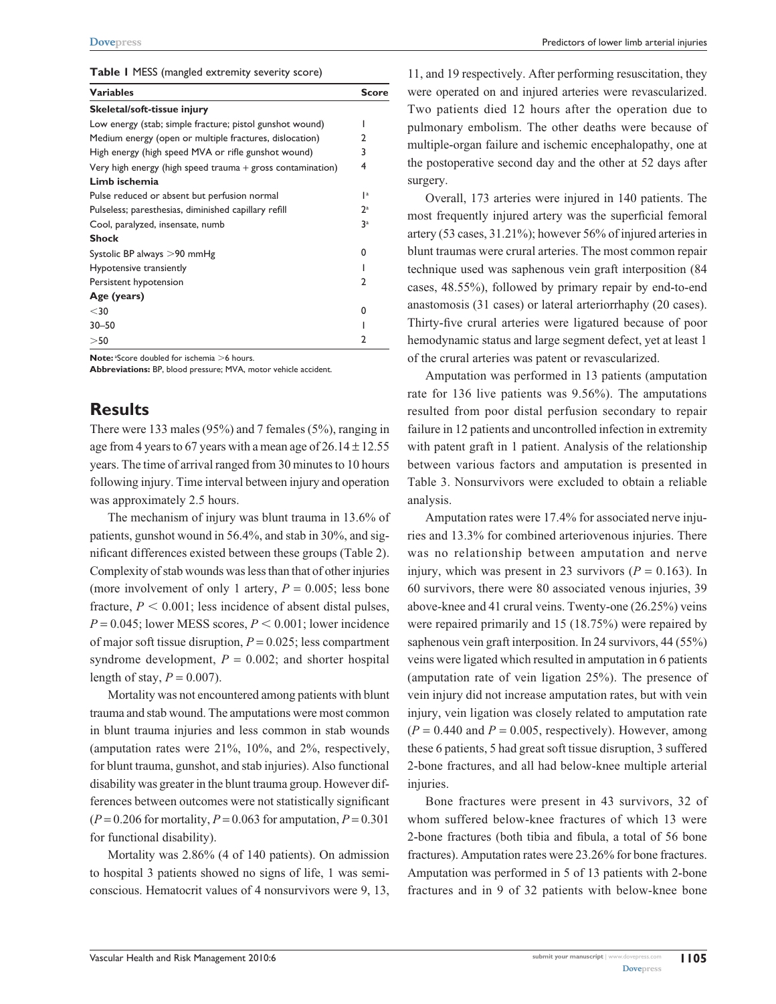**Table 1** MESS (mangled extremity severity score)

| <b>Variables</b>                                             | <b>Score</b>              |
|--------------------------------------------------------------|---------------------------|
| Skeletal/soft-tissue injury                                  |                           |
| Low energy (stab; simple fracture; pistol gunshot wound)     |                           |
| Medium energy (open or multiple fractures, dislocation)      | $\mathcal{P}$             |
| High energy (high speed MVA or rifle gunshot wound)          | 3                         |
| Very high energy (high speed trauma $+$ gross contamination) | $\overline{4}$            |
| Limb ischemia                                                |                           |
| Pulse reduced or absent but perfusion normal                 | $\mathsf{I}^{\mathsf{a}}$ |
| Pulseless; paresthesias, diminished capillary refill         | 2a                        |
| Cool, paralyzed, insensate, numb                             | 3 <sup>a</sup>            |
| <b>Shock</b>                                                 |                           |
| Systolic BP always $>$ 90 mmHg                               | 0                         |
| Hypotensive transiently                                      |                           |
| Persistent hypotension                                       | $\mathcal{P}$             |
| Age (years)                                                  |                           |
| $30$                                                         | 0                         |
| $30 - 50$                                                    |                           |
| >50                                                          | 2                         |

**Note:** <sup>a</sup>Score doubled for ischemia >6 hours.

**Abbreviations:** BP, blood pressure; MVA, motor vehicle accident.

## **Results**

There were 133 males (95%) and 7 females (5%), ranging in age from 4 years to 67 years with a mean age of  $26.14 \pm 12.55$ years. The time of arrival ranged from 30 minutes to 10 hours following injury. Time interval between injury and operation was approximately 2.5 hours.

The mechanism of injury was blunt trauma in 13.6% of patients, gunshot wound in 56.4%, and stab in 30%, and significant differences existed between these groups (Table 2). Complexity of stab wounds was less than that of other injuries (more involvement of only 1 artery,  $P = 0.005$ ; less bone fracture,  $P < 0.001$ ; less incidence of absent distal pulses,  $P = 0.045$ ; lower MESS scores,  $P \le 0.001$ ; lower incidence of major soft tissue disruption, *P* = 0.025; less compartment syndrome development,  $P = 0.002$ ; and shorter hospital length of stay,  $P = 0.007$ ).

Mortality was not encountered among patients with blunt trauma and stab wound. The amputations were most common in blunt trauma injuries and less common in stab wounds (amputation rates were 21%, 10%, and 2%, respectively, for blunt trauma, gunshot, and stab injuries). Also functional disability was greater in the blunt trauma group. However differences between outcomes were not statistically significant  $(P=0.206$  for mortality,  $P=0.063$  for amputation,  $P=0.301$ for functional disability).

Mortality was 2.86% (4 of 140 patients). On admission to hospital 3 patients showed no signs of life, 1 was semiconscious. Hematocrit values of 4 nonsurvivors were 9, 13,

11, and 19 respectively. After performing resuscitation, they were operated on and injured arteries were revascularized. Two patients died 12 hours after the operation due to pulmonary embolism. The other deaths were because of multiple-organ failure and ischemic encephalopathy, one at the postoperative second day and the other at 52 days after surgery.

Overall, 173 arteries were injured in 140 patients. The most frequently injured artery was the superficial femoral artery (53 cases, 31.21%); however 56% of injured arteries in blunt traumas were crural arteries. The most common repair technique used was saphenous vein graft interposition (84 cases, 48.55%), followed by primary repair by end-to-end anastomosis (31 cases) or lateral arteriorrhaphy (20 cases). Thirty-five crural arteries were ligatured because of poor hemodynamic status and large segment defect, yet at least 1 of the crural arteries was patent or revascularized.

Amputation was performed in 13 patients (amputation rate for 136 live patients was 9.56%). The amputations resulted from poor distal perfusion secondary to repair failure in 12 patients and uncontrolled infection in extremity with patent graft in 1 patient. Analysis of the relationship between various factors and amputation is presented in Table 3. Nonsurvivors were excluded to obtain a reliable analysis.

Amputation rates were 17.4% for associated nerve injuries and 13.3% for combined arteriovenous injuries. There was no relationship between amputation and nerve injury, which was present in 23 survivors ( $P = 0.163$ ). In 60 survivors, there were 80 associated venous injuries, 39 above-knee and 41 crural veins. Twenty-one (26.25%) veins were repaired primarily and 15 (18.75%) were repaired by saphenous vein graft interposition. In 24 survivors, 44 (55%) veins were ligated which resulted in amputation in 6 patients (amputation rate of vein ligation 25%). The presence of vein injury did not increase amputation rates, but with vein injury, vein ligation was closely related to amputation rate  $(P = 0.440$  and  $P = 0.005$ , respectively). However, among these 6 patients, 5 had great soft tissue disruption, 3 suffered 2-bone fractures, and all had below-knee multiple arterial injuries.

Bone fractures were present in 43 survivors, 32 of whom suffered below-knee fractures of which 13 were 2-bone fractures (both tibia and fibula, a total of 56 bone fractures). Amputation rates were 23.26% for bone fractures. Amputation was performed in 5 of 13 patients with 2-bone fractures and in 9 of 32 patients with below-knee bone

**1105**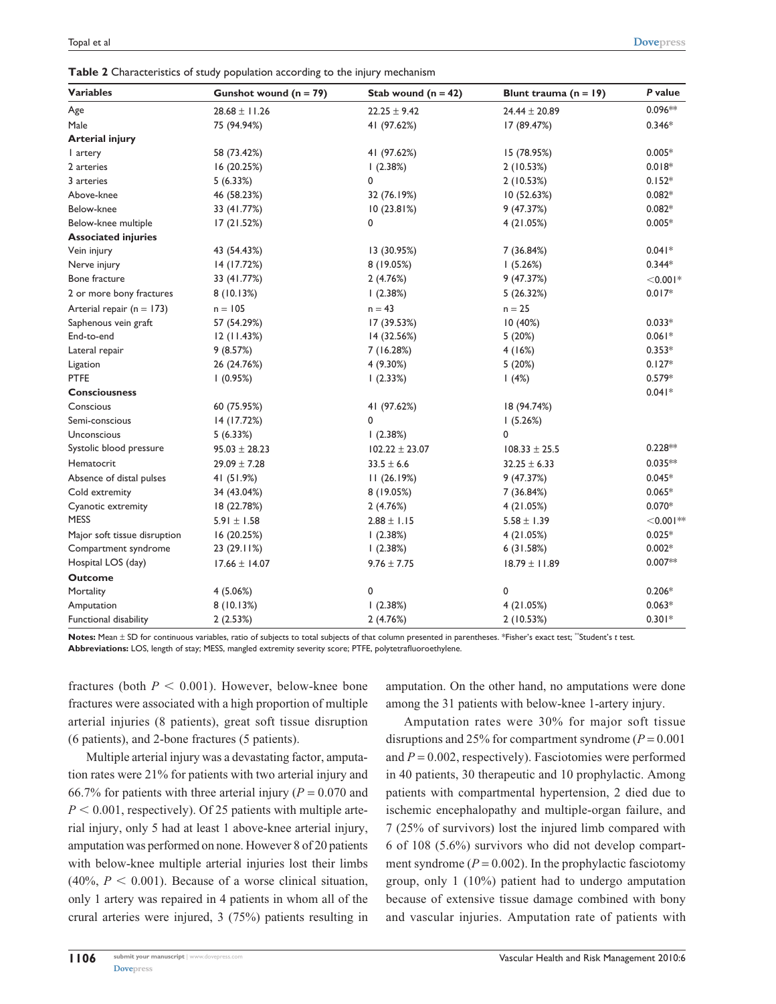| Table 2 Characteristics of study population according to the injury mechanism |  |
|-------------------------------------------------------------------------------|--|
|-------------------------------------------------------------------------------|--|

| <b>Variables</b>              | Gunshot wound $(n = 79)$ | Stab wound $(n = 42)$ | Blunt trauma $(n = 19)$ | P value     |
|-------------------------------|--------------------------|-----------------------|-------------------------|-------------|
| Age                           | $28.68 \pm 11.26$        | $22.25 \pm 9.42$      | $24.44 \pm 20.89$       | $0.096**$   |
| Male                          | 75 (94.94%)              | 41 (97.62%)           | 17 (89.47%)             | $0.346*$    |
| <b>Arterial injury</b>        |                          |                       |                         |             |
| I artery                      | 58 (73.42%)              | 41 (97.62%)           | 15 (78.95%)             | $0.005*$    |
| 2 arteries                    | 16 (20.25%)              | (2.38%)               | 2(10.53%)               | $0.018*$    |
| 3 arteries                    | 5(6.33%)                 | 0                     | 2(10.53%)               | $0.152*$    |
| Above-knee                    | 46 (58.23%)              | 32 (76.19%)           | 10 (52.63%)             | $0.082*$    |
| Below-knee                    | 33 (41.77%)              | 10(23.81%)            | 9(47.37%)               | $0.082*$    |
| Below-knee multiple           | 17(21.52%)               | 0                     | 4(21.05%)               | $0.005*$    |
| <b>Associated injuries</b>    |                          |                       |                         |             |
| Vein injury                   | 43 (54.43%)              | 13 (30.95%)           | 7 (36.84%)              | $0.041*$    |
| Nerve injury                  | 14 (17.72%)              | 8 (19.05%)            | 1(5.26%)                | $0.344*$    |
| Bone fracture                 | 33 (41.77%)              | 2(4.76%)              | 9 (47.37%)              | $<$ 0.001*  |
| 2 or more bony fractures      | 8(10.13%)                | 1(2.38%)              | 5 (26.32%)              | $0.017*$    |
| Arterial repair ( $n = 173$ ) | $n = 105$                | $n = 43$              | $n = 25$                |             |
| Saphenous vein graft          | 57 (54.29%)              | 17 (39.53%)           | 10(40%)                 | $0.033*$    |
| End-to-end                    | 12(11.43%)               | 14 (32.56%)           | 5(20%)                  | $0.061*$    |
| Lateral repair                | 9(8.57%)                 | 7(16.28%)             | 4(16%)                  | $0.353*$    |
| Ligation                      | 26 (24.76%)              | 4 (9.30%)             | 5(20%)                  | $0.127*$    |
| <b>PTFE</b>                   | 1(0.95%)                 | 1(2.33%)              | 1(4%)                   | $0.579*$    |
| <b>Consciousness</b>          |                          |                       |                         | $0.041*$    |
| Conscious                     | 60 (75.95%)              | 41 (97.62%)           | 18 (94.74%)             |             |
| Semi-conscious                | 14 (17.72%)              | 0                     | 1(5.26%)                |             |
| Unconscious                   | 5(6.33%)                 | (2.38%)               | 0                       |             |
| Systolic blood pressure       | $95.03 \pm 28.23$        | $102.22 \pm 23.07$    | $108.33 \pm 25.5$       | $0.228**$   |
| Hematocrit                    | $29.09 \pm 7.28$         | $33.5 \pm 6.6$        | $32.25 \pm 6.33$        | $0.035**$   |
| Absence of distal pulses      | 41 (51.9%)               | 11(26.19%)            | 9 (47.37%)              | $0.045*$    |
| Cold extremity                | 34 (43.04%)              | 8 (19.05%)            | 7 (36.84%)              | $0.065*$    |
| Cyanotic extremity            | 18 (22.78%)              | 2(4.76%)              | 4(21.05%)               | $0.070*$    |
| <b>MESS</b>                   | $5.91 \pm 1.58$          | $2.88 \pm 1.15$       | 5.58 $\pm$ 1.39         | $<$ 0.001** |
| Major soft tissue disruption  | 16 (20.25%)              | (2.38%)               | 4(21.05%)               | $0.025*$    |
| Compartment syndrome          | 23 (29.11%)              | (2.38%)               | 6(31.58%)               | $0.002*$    |
| Hospital LOS (day)            | $17.66 \pm 14.07$        | $9.76 \pm 7.75$       | $18.79 \pm 11.89$       | $0.007**$   |
| <b>Outcome</b>                |                          |                       |                         |             |
| Mortality                     | 4(5.06%)                 | 0                     | 0                       | $0.206*$    |
| Amputation                    | 8(10.13%)                | 1(2.38%)              | 4(21.05%)               | $0.063*$    |
| Functional disability         | 2(2.53%)                 | 2(4.76%)              | 2(10.53%)               | $0.301*$    |

**Notes:** Mean ± SD for continuous variables, ratio of subjects to total subjects of that column presented in parentheses. \*Fisher's exact test; \*\*Student's *t* test. **Abbreviations:** LOS, length of stay; MESS, mangled extremity severity score; PTFE, polytetrafluoroethylene.

fractures (both  $P < 0.001$ ). However, below-knee bone fractures were associated with a high proportion of multiple arterial injuries (8 patients), great soft tissue disruption (6 patients), and 2-bone fractures (5 patients).

Multiple arterial injury was a devastating factor, amputation rates were 21% for patients with two arterial injury and 66.7% for patients with three arterial injury  $(P = 0.070$  and  $P < 0.001$ , respectively). Of 25 patients with multiple arterial injury, only 5 had at least 1 above-knee arterial injury, amputation was performed on none. However 8 of 20 patients with below-knee multiple arterial injuries lost their limbs  $(40\%, P < 0.001)$ . Because of a worse clinical situation, only 1 artery was repaired in 4 patients in whom all of the crural arteries were injured, 3 (75%) patients resulting in amputation. On the other hand, no amputations were done among the 31 patients with below-knee 1-artery injury.

Amputation rates were 30% for major soft tissue disruptions and 25% for compartment syndrome  $(P = 0.001)$ and *P* = 0.002, respectively). Fasciotomies were performed in 40 patients, 30 therapeutic and 10 prophylactic. Among patients with compartmental hypertension, 2 died due to ischemic encephalopathy and multiple-organ failure, and 7 (25% of survivors) lost the injured limb compared with 6 of 108 (5.6%) survivors who did not develop compartment syndrome  $(P = 0.002)$ . In the prophylactic fasciotomy group, only 1 (10%) patient had to undergo amputation because of extensive tissue damage combined with bony and vascular injuries. Amputation rate of patients with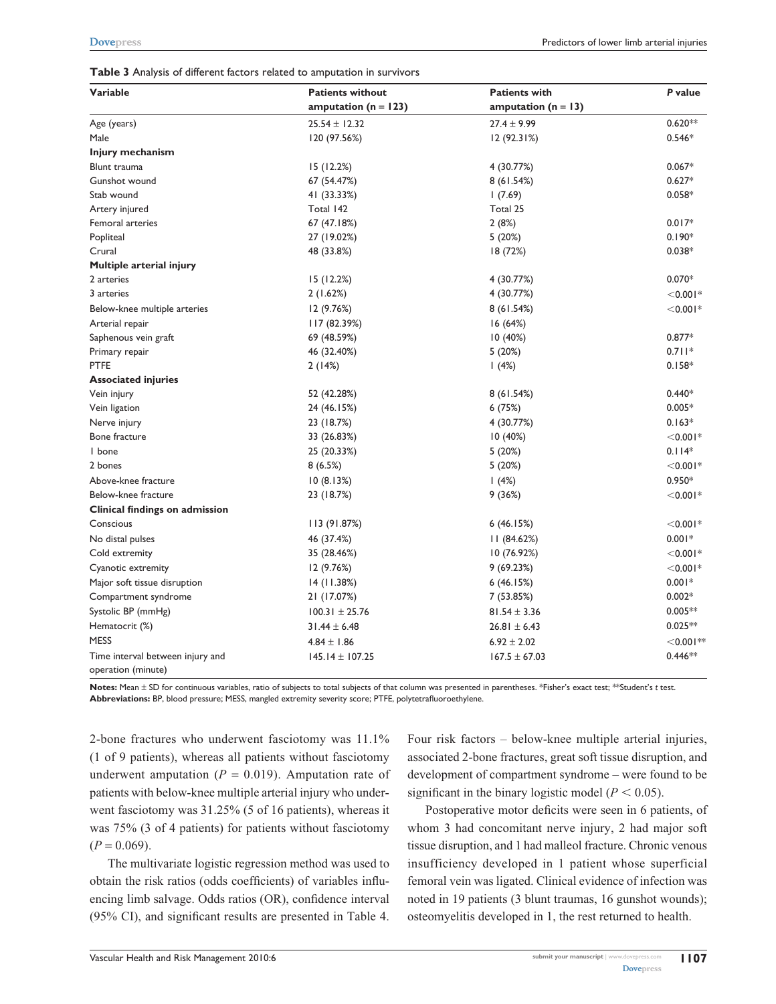**Table 3** Analysis of different factors related to amputation in survivors

| <b>Variable</b>                                        | <b>Patients without</b>  | <b>Patients with</b>    | P value        |  |
|--------------------------------------------------------|--------------------------|-------------------------|----------------|--|
|                                                        | amputation ( $n = 123$ ) | amputation ( $n = 13$ ) |                |  |
| Age (years)                                            | $25.54 \pm 12.32$        | $27.4 \pm 9.99$         | $0.620**$      |  |
| Male                                                   | 120 (97.56%)             | 12 (92.31%)             | $0.546*$       |  |
| Injury mechanism                                       |                          |                         |                |  |
| Blunt trauma                                           | 15(12.2%)                | 4 (30.77%)              | $0.067*$       |  |
| Gunshot wound                                          | 67 (54.47%)              | 8(61.54%)               | $0.627*$       |  |
| Stab wound                                             | 41 (33.33%)              | (7.69)                  | $0.058*$       |  |
| Artery injured                                         | Total 142                | Total 25                |                |  |
| Femoral arteries                                       | 67 (47.18%)              | 2(8%)                   | $0.017*$       |  |
| Popliteal                                              | 27 (19.02%)              | 5(20%)                  | $0.190*$       |  |
| Crural                                                 | 48 (33.8%)               | 18(72%)                 | $0.038*$       |  |
| Multiple arterial injury                               |                          |                         |                |  |
| 2 arteries                                             | 15 (12.2%)               | 4 (30.77%)              | $0.070*$       |  |
| 3 arteries                                             | 2(1.62%)                 | 4 (30.77%)              | $< 0.001*$     |  |
| Below-knee multiple arteries                           | 12 (9.76%)               | 8(61.54%)               | $<$ 0.001*     |  |
| Arterial repair                                        | 117 (82.39%)             | 16(64%)                 |                |  |
| Saphenous vein graft                                   | 69 (48.59%)              | 10(40%)                 | $0.877*$       |  |
| Primary repair                                         | 46 (32.40%)              | 5(20%)                  | $0.711*$       |  |
| <b>PTFE</b>                                            | 2(14%)                   | 1(4%)                   | $0.158*$       |  |
| <b>Associated injuries</b>                             |                          |                         |                |  |
| Vein injury                                            | 52 (42.28%)              | 8(61.54%)               | $0.440*$       |  |
| Vein ligation                                          | 24 (46.15%)              | 6(75%)                  | $0.005*$       |  |
| Nerve injury                                           | 23 (18.7%)               | 4 (30.77%)              | $0.163*$       |  |
| Bone fracture                                          | 33 (26.83%)              | 10(40%)                 | $<$ 0.001*     |  |
| I bone                                                 | 25 (20.33%)              | 5(20%)                  | $0.114*$       |  |
| 2 bones                                                | 8(6.5%)                  | 5 (20%)                 | $<$ 0.001*     |  |
| Above-knee fracture                                    | 10(8.13%)                | 1(4%)                   | $0.950*$       |  |
| Below-knee fracture                                    | 23 (18.7%)               | 9(36%)                  | $<$ 0.001*     |  |
| <b>Clinical findings on admission</b>                  |                          |                         |                |  |
| Conscious                                              | 113(91.87%)              | 6(46.15%)               | $< 0.001*$     |  |
| No distal pulses                                       | 46 (37.4%)               | 11(84.62%)              | $0.001*$       |  |
| Cold extremity                                         | 35 (28.46%)              | 10 (76.92%)             | $<$ 0.001*     |  |
| Cyanotic extremity                                     | 12(9.76%)                | 9 (69.23%)              | $<$ 0.001*     |  |
| Major soft tissue disruption                           | 14(11.38%)               | 6(46.15%)               | $0.001*$       |  |
| Compartment syndrome                                   | 21 (17.07%)              | 7 (53.85%)              | $0.002*$       |  |
| Systolic BP (mmHg)                                     | $100.31 \pm 25.76$       | $81.54 \pm 3.36$        | $0.005**$      |  |
| Hematocrit (%)                                         | $31.44 \pm 6.48$         | $26.81 \pm 6.43$        | $0.025**$      |  |
| <b>MESS</b>                                            | $4.84 \pm 1.86$          | $6.92 \pm 2.02$         | $<$ 0.001 $**$ |  |
| Time interval between injury and<br>operation (minute) | $145.14 \pm 107.25$      | $167.5 \pm 67.03$       | $0.446**$      |  |

**Notes:** Mean ± SD for continuous variables, ratio of subjects to total subjects of that column was presented in parentheses. \*Fisher's exact test; \*\*Student's *t* test. **Abbreviations:** BP, blood pressure; MESS, mangled extremity severity score; PTFE, polytetrafluoroethylene.

2-bone fractures who underwent fasciotomy was 11.1% (1 of 9 patients), whereas all patients without fasciotomy underwent amputation  $(P = 0.019)$ . Amputation rate of patients with below-knee multiple arterial injury who underwent fasciotomy was 31.25% (5 of 16 patients), whereas it was 75% (3 of 4 patients) for patients without fasciotomy  $(P = 0.069)$ .

The multivariate logistic regression method was used to obtain the risk ratios (odds coefficients) of variables influencing limb salvage. Odds ratios (OR), confidence interval (95% CI), and significant results are presented in Table 4. Four risk factors – below-knee multiple arterial injuries, associated 2-bone fractures, great soft tissue disruption, and development of compartment syndrome – were found to be significant in the binary logistic model ( $P < 0.05$ ).

Postoperative motor deficits were seen in 6 patients, of whom 3 had concomitant nerve injury, 2 had major soft tissue disruption, and 1 had malleol fracture. Chronic venous insufficiency developed in 1 patient whose superficial femoral vein was ligated. Clinical evidence of infection was noted in 19 patients (3 blunt traumas, 16 gunshot wounds); osteomyelitis developed in 1, the rest returned to health.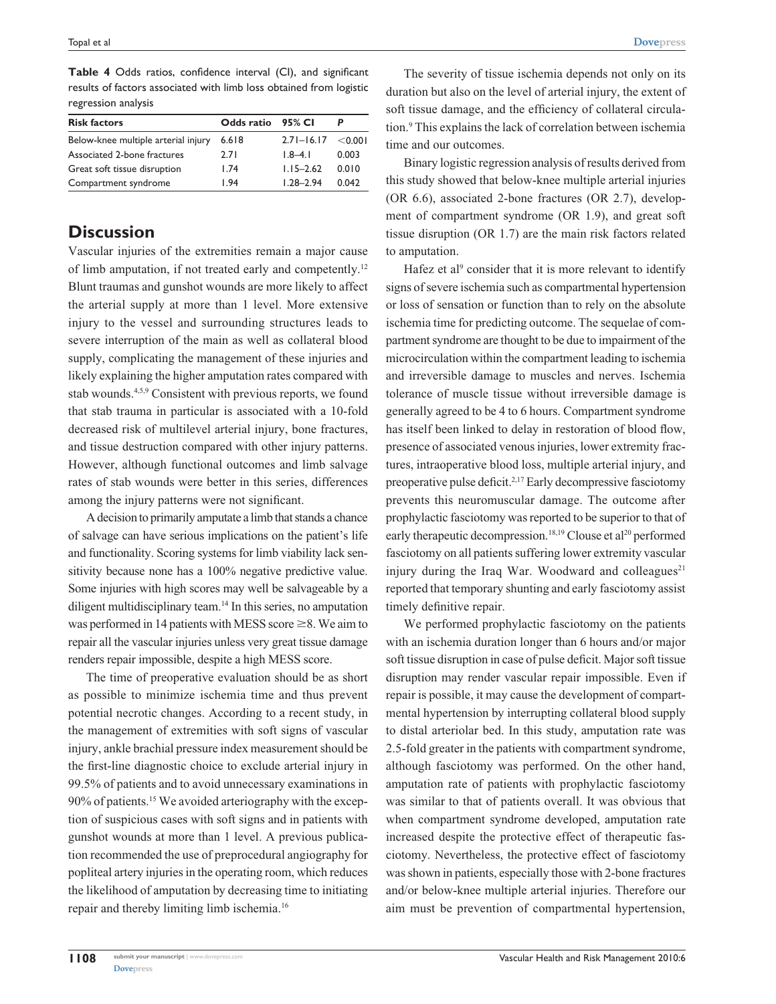|       |                | P                 |  |
|-------|----------------|-------------------|--|
| 6.618 | $2.71 - 16.17$ | < 0.001           |  |
| 2.71  | $1.8 - 4.1$    | 0.003             |  |
| 1.74  | $1.15 - 2.62$  | 0.010             |  |
| 1.94  | $1.28 - 2.94$  | 0.042             |  |
|       |                | Odds ratio 95% CI |  |

**Table 4** Odds ratios, confidence interval (CI), and significant results of factors associated with limb loss obtained from logistic regression analysis

# **Discussion**

Vascular injuries of the extremities remain a major cause of limb amputation, if not treated early and competently.12 Blunt traumas and gunshot wounds are more likely to affect the arterial supply at more than 1 level. More extensive injury to the vessel and surrounding structures leads to severe interruption of the main as well as collateral blood supply, complicating the management of these injuries and likely explaining the higher amputation rates compared with stab wounds.4,5,9 Consistent with previous reports, we found that stab trauma in particular is associated with a 10-fold decreased risk of multilevel arterial injury, bone fractures, and tissue destruction compared with other injury patterns. However, although functional outcomes and limb salvage rates of stab wounds were better in this series, differences among the injury patterns were not significant.

A decision to primarily amputate a limb that stands a chance of salvage can have serious implications on the patient's life and functionality. Scoring systems for limb viability lack sensitivity because none has a 100% negative predictive value. Some injuries with high scores may well be salvageable by a diligent multidisciplinary team.14 In this series, no amputation was performed in 14 patients with MESS score  $\geq$ 8. We aim to repair all the vascular injuries unless very great tissue damage renders repair impossible, despite a high MESS score.

The time of preoperative evaluation should be as short as possible to minimize ischemia time and thus prevent potential necrotic changes. According to a recent study, in the management of extremities with soft signs of vascular injury, ankle brachial pressure index measurement should be the first-line diagnostic choice to exclude arterial injury in 99.5% of patients and to avoid unnecessary examinations in 90% of patients.15 We avoided arteriography with the exception of suspicious cases with soft signs and in patients with gunshot wounds at more than 1 level. A previous publication recommended the use of preprocedural angiography for popliteal artery injuries in the operating room, which reduces the likelihood of amputation by decreasing time to initiating repair and thereby limiting limb ischemia.16

The severity of tissue ischemia depends not only on its duration but also on the level of arterial injury, the extent of soft tissue damage, and the efficiency of collateral circulation.9 This explains the lack of correlation between ischemia time and our outcomes.

Binary logistic regression analysis of results derived from this study showed that below-knee multiple arterial injuries (OR 6.6), associated 2-bone fractures (OR 2.7), development of compartment syndrome (OR 1.9), and great soft tissue disruption (OR 1.7) are the main risk factors related to amputation.

Hafez et al<sup>9</sup> consider that it is more relevant to identify signs of severe ischemia such as compartmental hypertension or loss of sensation or function than to rely on the absolute ischemia time for predicting outcome. The sequelae of compartment syndrome are thought to be due to impairment of the microcirculation within the compartment leading to ischemia and irreversible damage to muscles and nerves. Ischemia tolerance of muscle tissue without irreversible damage is generally agreed to be 4 to 6 hours. Compartment syndrome has itself been linked to delay in restoration of blood flow, presence of associated venous injuries, lower extremity fractures, intraoperative blood loss, multiple arterial injury, and preoperative pulse deficit.<sup>2,17</sup> Early decompressive fasciotomy prevents this neuromuscular damage. The outcome after prophylactic fasciotomy was reported to be superior to that of early therapeutic decompression.<sup>18,19</sup> Clouse et al<sup>20</sup> performed fasciotomy on all patients suffering lower extremity vascular injury during the Iraq War. Woodward and colleagues<sup>21</sup> reported that temporary shunting and early fasciotomy assist timely definitive repair.

We performed prophylactic fasciotomy on the patients with an ischemia duration longer than 6 hours and/or major soft tissue disruption in case of pulse deficit. Major soft tissue disruption may render vascular repair impossible. Even if repair is possible, it may cause the development of compartmental hypertension by interrupting collateral blood supply to distal arteriolar bed. In this study, amputation rate was 2.5-fold greater in the patients with compartment syndrome, although fasciotomy was performed. On the other hand, amputation rate of patients with prophylactic fasciotomy was similar to that of patients overall. It was obvious that when compartment syndrome developed, amputation rate increased despite the protective effect of therapeutic fasciotomy. Nevertheless, the protective effect of fasciotomy was shown in patients, especially those with 2-bone fractures and/or below-knee multiple arterial injuries. Therefore our aim must be prevention of compartmental hypertension,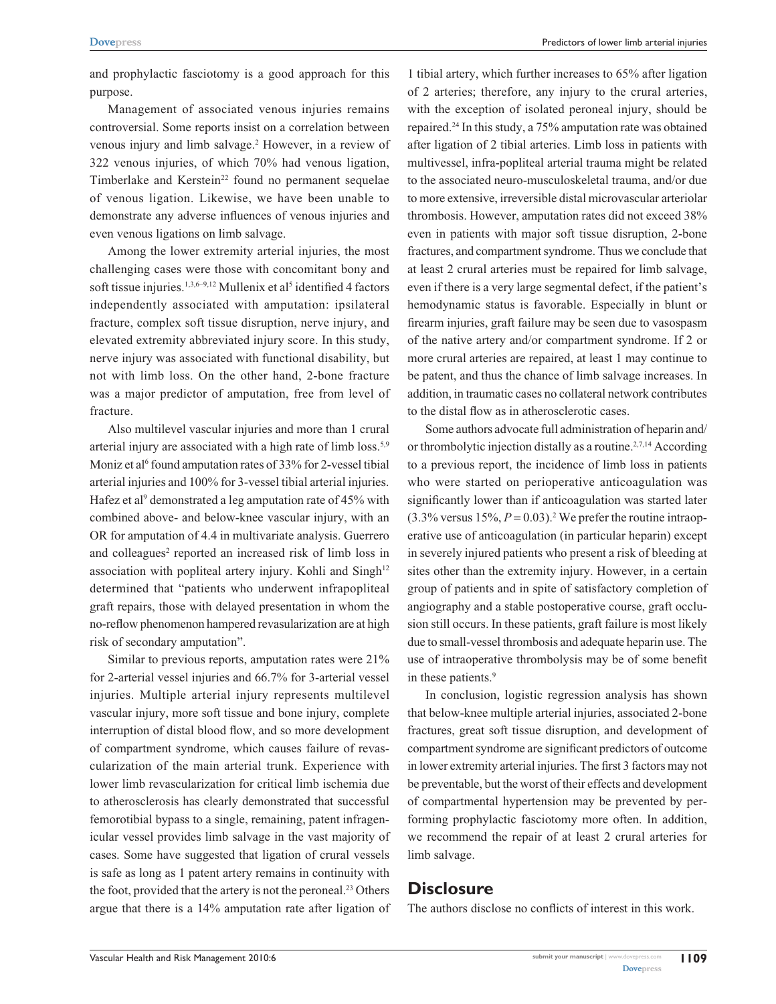and prophylactic fasciotomy is a good approach for this purpose.

Management of associated venous injuries remains controversial. Some reports insist on a correlation between venous injury and limb salvage.<sup>2</sup> However, in a review of 322 venous injuries, of which 70% had venous ligation, Timberlake and Kerstein<sup>22</sup> found no permanent sequelae of venous ligation. Likewise, we have been unable to demonstrate any adverse influences of venous injuries and even venous ligations on limb salvage.

Among the lower extremity arterial injuries, the most challenging cases were those with concomitant bony and soft tissue injuries.<sup>1,3,6-9,12</sup> Mullenix et al<sup>5</sup> identified 4 factors independently associated with amputation: ipsilateral fracture, complex soft tissue disruption, nerve injury, and elevated extremity abbreviated injury score. In this study, nerve injury was associated with functional disability, but not with limb loss. On the other hand, 2-bone fracture was a major predictor of amputation, free from level of fracture.

Also multilevel vascular injuries and more than 1 crural arterial injury are associated with a high rate of limb loss.<sup>5,9</sup> Moniz et al<sup>6</sup> found amputation rates of 33% for 2-vessel tibial arterial injuries and 100% for 3-vessel tibial arterial injuries. Hafez et al<sup>9</sup> demonstrated a leg amputation rate of 45% with combined above- and below-knee vascular injury, with an OR for amputation of 4.4 in multivariate analysis. Guerrero and colleagues<sup>2</sup> reported an increased risk of limb loss in association with popliteal artery injury. Kohli and Singh<sup>12</sup> determined that "patients who underwent infrapopliteal graft repairs, those with delayed presentation in whom the no-reflow phenomenon hampered revasularization are at high risk of secondary amputation".

Similar to previous reports, amputation rates were 21% for 2-arterial vessel injuries and 66.7% for 3-arterial vessel injuries. Multiple arterial injury represents multilevel vascular injury, more soft tissue and bone injury, complete interruption of distal blood flow, and so more development of compartment syndrome, which causes failure of revascularization of the main arterial trunk. Experience with lower limb revascularization for critical limb ischemia due to atherosclerosis has clearly demonstrated that successful femorotibial bypass to a single, remaining, patent infragenicular vessel provides limb salvage in the vast majority of cases. Some have suggested that ligation of crural vessels is safe as long as 1 patent artery remains in continuity with the foot, provided that the artery is not the peroneal.<sup>23</sup> Others argue that there is a 14% amputation rate after ligation of

1 tibial artery, which further increases to 65% after ligation of 2 arteries; therefore, any injury to the crural arteries, with the exception of isolated peroneal injury, should be repaired.24 In this study, a 75% amputation rate was obtained after ligation of 2 tibial arteries. Limb loss in patients with multivessel, infra-popliteal arterial trauma might be related to the associated neuro-musculoskeletal trauma, and/or due to more extensive, irreversible distal microvascular arteriolar thrombosis. However, amputation rates did not exceed 38% even in patients with major soft tissue disruption, 2-bone fractures, and compartment syndrome. Thus we conclude that at least 2 crural arteries must be repaired for limb salvage, even if there is a very large segmental defect, if the patient's hemodynamic status is favorable. Especially in blunt or firearm injuries, graft failure may be seen due to vasospasm of the native artery and/or compartment syndrome. If 2 or more crural arteries are repaired, at least 1 may continue to be patent, and thus the chance of limb salvage increases. In addition, in traumatic cases no collateral network contributes to the distal flow as in atherosclerotic cases.

Some authors advocate full administration of heparin and/ or thrombolytic injection distally as a routine.<sup>2,7,14</sup> According to a previous report, the incidence of limb loss in patients who were started on perioperative anticoagulation was significantly lower than if anticoagulation was started later  $(3.3\%$  versus  $15\%, P = 0.03$ .<sup>2</sup> We prefer the routine intraoperative use of anticoagulation (in particular heparin) except in severely injured patients who present a risk of bleeding at sites other than the extremity injury. However, in a certain group of patients and in spite of satisfactory completion of angiography and a stable postoperative course, graft occlusion still occurs. In these patients, graft failure is most likely due to small-vessel thrombosis and adequate heparin use. The use of intraoperative thrombolysis may be of some benefit in these patients.<sup>9</sup>

In conclusion, logistic regression analysis has shown that below-knee multiple arterial injuries, associated 2-bone fractures, great soft tissue disruption, and development of compartment syndrome are significant predictors of outcome in lower extremity arterial injuries. The first 3 factors may not be preventable, but the worst of their effects and development of compartmental hypertension may be prevented by performing prophylactic fasciotomy more often. In addition, we recommend the repair of at least 2 crural arteries for limb salvage.

## **Disclosure**

The authors disclose no conflicts of interest in this work.